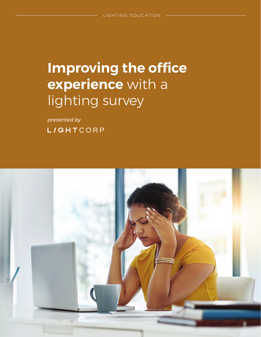# **Improving the office experience** with a lighting survey

*presented by* **L/GHTCORP** 

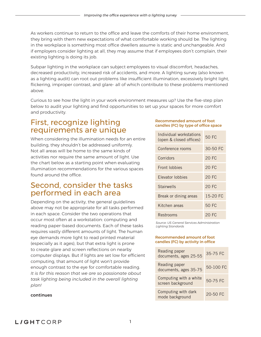As workers continue to return to the office and leave the comforts of their home environment, they bring with them new expectations of what comfortable working should be. The lighting in the workplace is something most office dwellers assume is static and unchangeable. And if employers consider lighting at all, they may assume that if employees don't complain, their existing lighting is doing its job.

Subpar lighting in the workplace can subject employees to visual discomfort, headaches, decreased productivity, increased risk of accidents, and more. A lighting survey (also known as a lighting audit) can root out problems like insufficient illumination, excessively bright light, flickering, improper contrast, and glare- all of which contribute to these problems mentioned above.

Curious to see how the light in your work environment measures up? Use the five-step plan below to audit your lighting and find opportunities to set up your spaces for more comfort and productivity.

### First, recognize lighting requirements are unique

When considering the illumination needs for an entire building, they shouldn't be addressed uniformly. Not all areas will be home to the same kinds of activities nor require the same amount of light. Use the chart below as a starting point when evaluating illumination recommendations for the various spaces found around the office.

### Second, consider the tasks performed in each area

Depending on the activity, the general guidelines above may not be appropriate for all tasks performed in each space. Consider the two operations that occur most often at a workstation: computing and reading paper-based documents. Each of these tasks requires vastly different amounts of light. The human eye demands more light to read printed material (especially as it ages), but that extra light is prone to create glare and screen reflections on nearby computer displays. But if lights are set low for efficient computing, that amount of light won't provide enough contrast to the eye for comfortable reading. *It is for this reason that we are so passionate about task lighting being included in the overall lighting plan!*

#### continues

#### Recommended amount of foot candles (FC) by type of office space

| Individual workstations<br>(open & closed offices) | 50 FC        |
|----------------------------------------------------|--------------|
| Conference rooms                                   | $30 - 50$ FC |
| Corridors                                          | 20 FC        |
| Front Iobbies                                      | <b>20 FC</b> |
| <b>Flevator lobbies</b>                            | 20 FC        |
| Stairwells                                         | 20 FC        |
| Break or dining areas                              | 15-20 FC     |
| Kitchen areas                                      | 50 FC        |
| Restrooms                                          | 20 FC        |

*Source: US General Services Administration Lighting Standards*

#### Recommended amount of foot candles (FC) by activity in office

| Reading paper<br>documents, ages 25-55      | 35-75 FC  |
|---------------------------------------------|-----------|
| Reading paper<br>documents, ages 35-75      | 50-100 FC |
| Computing with a white<br>screen background | 50-75 FC  |
| Computing with dark<br>mode background      | 20-50 FC  |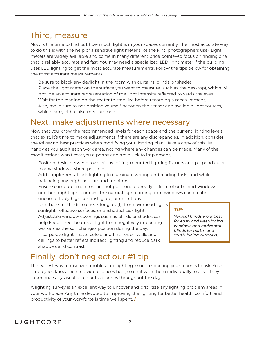# Third, measure

Now is the time to find out how much light is in your spaces currently. The most accurate way to do this is with the help of a sensitive light meter (like the kind photographers use). Light meters are widely available and come in many different price points—so focus on finding one that is reliably accurate and fast. You may need a specialized LED light meter if the building uses LED lighting to get the most accurate measurements. Follow the tips below for obtaining the most accurate measurements:

- Be sure to block any daylight in the room with curtains, blinds, or shades
- Place the light meter on the surface you want to measure (such as the desktop), which will provide an accurate representation of the light intensity reflected towards the eyes
- Wait for the reading on the meter to stabilize before recording a measurement.
- Also, make sure to not position yourself between the sensor and available light sources, which can yield a false measurement

## Next, make adjustments where necessary

Now that you know the recommended levels for each space and the current lighting levels that exist, it's time to make adjustments if there are any discrepancies. In addition, consider the following best practices when modifying your lighting plan. Have a copy of this list handy as you audit each work area, noting where any changes can be made. Many of the modifications won't cost you a penny and are quick to implement.

- Position desks between rows of any ceiling-mounted lighting fixtures and perpendicular to any windows where possible
- Add supplemental task lighting to illuminate writing and reading tasks and while balancing any brightness around monitors
- Ensure computer monitors are not positioned directly in front of or behind windows or other bright light sources. The natural light coming from windows can create uncomfortably high contrast, glare, or reflections.
- Use these methods to check for glare[1] from overhead lights, sunlight, reflective surfaces, or unshaded task lights
- Adjustable window coverings such as blinds or shades can help keep direct beams of light from negatively impacting workers as the sun changes position during the day.
- Incorporate light, matte colors and finishes on walls and ceilings to better reflect indirect lighting and reduce dark shadows and contrast

# Finally, don't neglect our #1 tip

The easiest way to discover troublesome lighting issues impacting your team is to ask! Your employees know their individual spaces best, so chat with them individually to ask if they experience any visual strain or headaches throughout the day.

A lighting survey is an excellent way to uncover and prioritize any lighting problem areas in your workplace. Any time devoted to improving the lighting for better health, comfort, and productivity of your workforce is time well spent. **/**

#### *TIP:*

*Vertical blinds work best for east- and west-facing windows and horizontal blinds for north- and south-facing windows.*